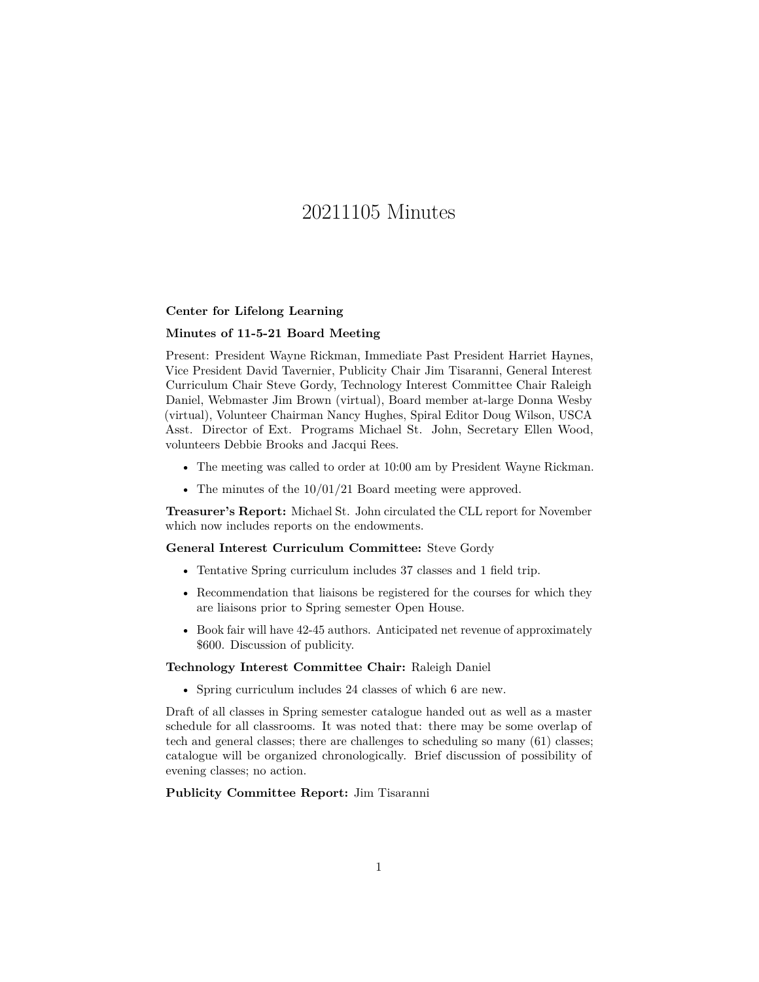# 20211105 Minutes

### **Center for Lifelong Learning**

## **Minutes of 11-5-21 Board Meeting**

Present: President Wayne Rickman, Immediate Past President Harriet Haynes, Vice President David Tavernier, Publicity Chair Jim Tisaranni, General Interest Curriculum Chair Steve Gordy, Technology Interest Committee Chair Raleigh Daniel, Webmaster Jim Brown (virtual), Board member at-large Donna Wesby (virtual), Volunteer Chairman Nancy Hughes, Spiral Editor Doug Wilson, USCA Asst. Director of Ext. Programs Michael St. John, Secretary Ellen Wood, volunteers Debbie Brooks and Jacqui Rees.

- The meeting was called to order at 10:00 am by President Wayne Rickman.
- The minutes of the  $10/01/21$  Board meeting were approved.

**Treasurer's Report:** Michael St. John circulated the CLL report for November which now includes reports on the endowments.

#### **General Interest Curriculum Committee:** Steve Gordy

- Tentative Spring curriculum includes 37 classes and 1 field trip.
- Recommendation that liaisons be registered for the courses for which they are liaisons prior to Spring semester Open House.
- Book fair will have 42-45 authors. Anticipated net revenue of approximately \$600. Discussion of publicity.

#### **Technology Interest Committee Chair:** Raleigh Daniel

• Spring curriculum includes 24 classes of which 6 are new.

Draft of all classes in Spring semester catalogue handed out as well as a master schedule for all classrooms. It was noted that: there may be some overlap of tech and general classes; there are challenges to scheduling so many (61) classes; catalogue will be organized chronologically. Brief discussion of possibility of evening classes; no action.

## **Publicity Committee Report:** Jim Tisaranni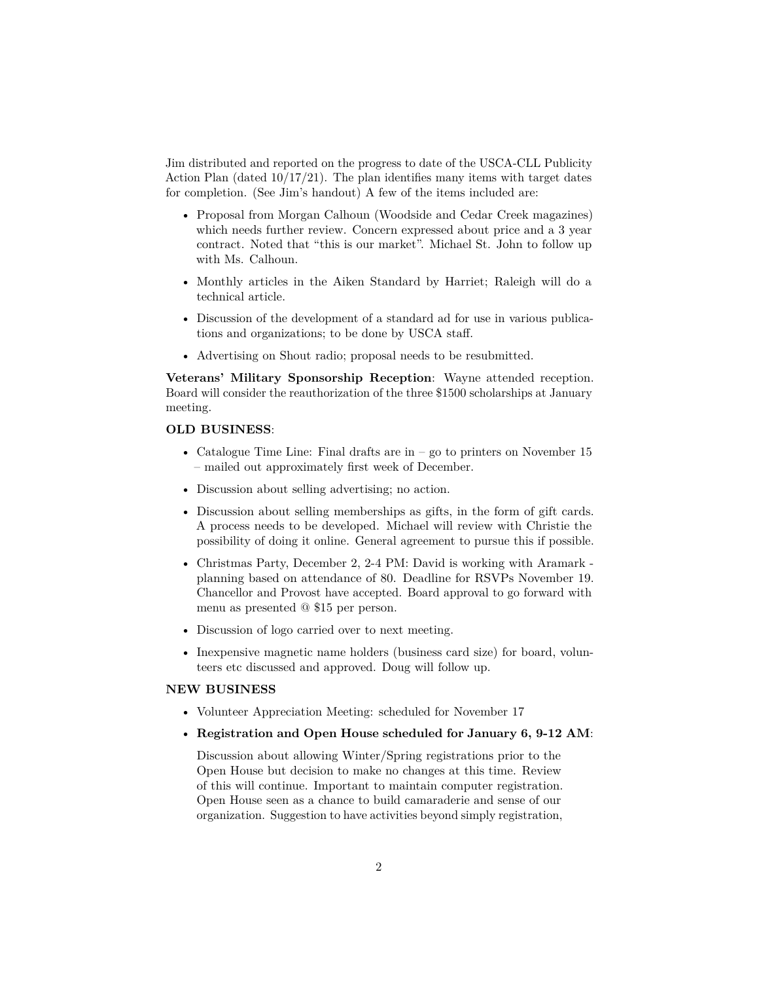Jim distributed and reported on the progress to date of the USCA-CLL Publicity Action Plan (dated  $10/17/21$ ). The plan identifies many items with target dates for completion. (See Jim's handout) A few of the items included are:

- Proposal from Morgan Calhoun (Woodside and Cedar Creek magazines) which needs further review. Concern expressed about price and a 3 year contract. Noted that "this is our market". Michael St. John to follow up with Ms. Calhoun.
- Monthly articles in the Aiken Standard by Harriet; Raleigh will do a technical article.
- Discussion of the development of a standard ad for use in various publications and organizations; to be done by USCA staff.
- Advertising on Shout radio; proposal needs to be resubmitted.

**Veterans' Military Sponsorship Reception**: Wayne attended reception. Board will consider the reauthorization of the three \$1500 scholarships at January meeting.

# **OLD BUSINESS**:

- Catalogue Time Line: Final drafts are in  $-$  go to printers on November 15 – mailed out approximately first week of December.
- Discussion about selling advertising; no action.
- Discussion about selling memberships as gifts, in the form of gift cards. A process needs to be developed. Michael will review with Christie the possibility of doing it online. General agreement to pursue this if possible.
- Christmas Party, December 2, 2-4 PM: David is working with Aramark planning based on attendance of 80. Deadline for RSVPs November 19. Chancellor and Provost have accepted. Board approval to go forward with menu as presented @ \$15 per person.
- Discussion of logo carried over to next meeting.
- Inexpensive magnetic name holders (business card size) for board, volunteers etc discussed and approved. Doug will follow up.

# **NEW BUSINESS**

- Volunteer Appreciation Meeting: scheduled for November 17
- **Registration and Open House scheduled for January 6, 9-12 AM**:

Discussion about allowing Winter/Spring registrations prior to the Open House but decision to make no changes at this time. Review of this will continue. Important to maintain computer registration. Open House seen as a chance to build camaraderie and sense of our organization. Suggestion to have activities beyond simply registration,